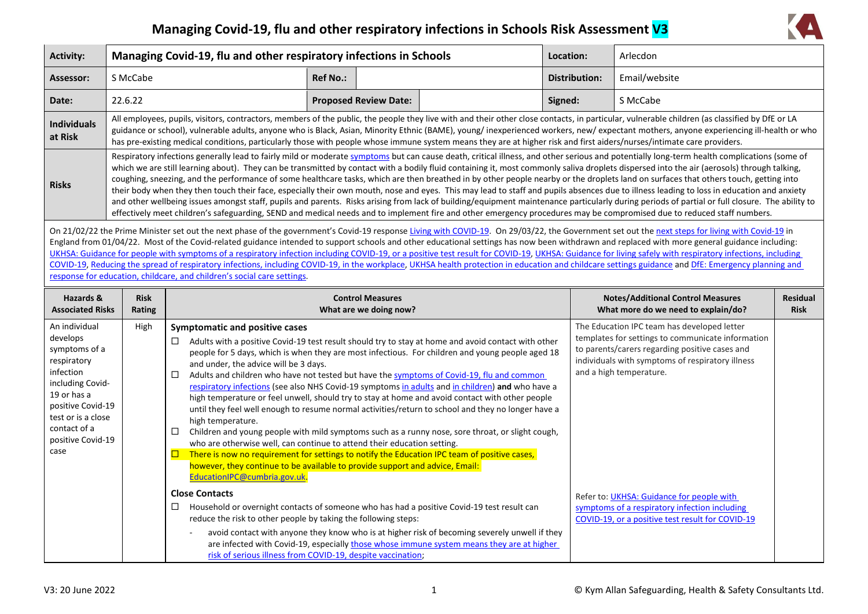## **Managing Covid-19, flu and other respiratory infections in Schools Risk Assessment V3**



| <b>Activity:</b>                                          | Managing Covid-19, flu and other respiratory infections in Schools                                                                                                                                                                                                                                                                                                                                                                                                                                                                                                                                                                                                                                                                                                                                                                                                                                                                                                                                                                                                                                                                                        |                                                                                   | Location:       | Arlecdon                                          |                                                                                                                                                                                                         |                      |                                                                                                                                                                                                        |                                |
|-----------------------------------------------------------|-----------------------------------------------------------------------------------------------------------------------------------------------------------------------------------------------------------------------------------------------------------------------------------------------------------------------------------------------------------------------------------------------------------------------------------------------------------------------------------------------------------------------------------------------------------------------------------------------------------------------------------------------------------------------------------------------------------------------------------------------------------------------------------------------------------------------------------------------------------------------------------------------------------------------------------------------------------------------------------------------------------------------------------------------------------------------------------------------------------------------------------------------------------|-----------------------------------------------------------------------------------|-----------------|---------------------------------------------------|---------------------------------------------------------------------------------------------------------------------------------------------------------------------------------------------------------|----------------------|--------------------------------------------------------------------------------------------------------------------------------------------------------------------------------------------------------|--------------------------------|
| Assessor:                                                 | S McCabe                                                                                                                                                                                                                                                                                                                                                                                                                                                                                                                                                                                                                                                                                                                                                                                                                                                                                                                                                                                                                                                                                                                                                  |                                                                                   | <b>Ref No.:</b> |                                                   |                                                                                                                                                                                                         | <b>Distribution:</b> | Email/website                                                                                                                                                                                          |                                |
| Date:                                                     | 22.6.22                                                                                                                                                                                                                                                                                                                                                                                                                                                                                                                                                                                                                                                                                                                                                                                                                                                                                                                                                                                                                                                                                                                                                   |                                                                                   |                 | <b>Proposed Review Date:</b>                      |                                                                                                                                                                                                         | Signed:              | S McCabe                                                                                                                                                                                               |                                |
| <b>Individuals</b><br>at Risk                             | All employees, pupils, visitors, contractors, members of the public, the people they live with and their other close contacts, in particular, vulnerable children (as classified by DfE or LA<br>guidance or school), vulnerable adults, anyone who is Black, Asian, Minority Ethnic (BAME), young/ inexperienced workers, new/ expectant mothers, anyone experiencing ill-health or who<br>has pre-existing medical conditions, particularly those with people whose immune system means they are at higher risk and first aiders/nurses/intimate care providers.                                                                                                                                                                                                                                                                                                                                                                                                                                                                                                                                                                                        |                                                                                   |                 |                                                   |                                                                                                                                                                                                         |                      |                                                                                                                                                                                                        |                                |
| <b>Risks</b>                                              | Respiratory infections generally lead to fairly mild or moderate symptoms but can cause death, critical illness, and other serious and potentially long-term health complications (some of<br>which we are still learning about). They can be transmitted by contact with a bodily fluid containing it, most commonly saliva droplets dispersed into the air (aerosols) through talking,<br>coughing, sneezing, and the performance of some healthcare tasks, which are then breathed in by other people nearby or the droplets land on surfaces that others touch, getting into<br>their body when they then touch their face, especially their own mouth, nose and eyes. This may lead to staff and pupils absences due to illness leading to loss in education and anxiety<br>and other wellbeing issues amongst staff, pupils and parents. Risks arising from lack of building/equipment maintenance particularly during periods of partial or full closure. The ability to<br>effectively meet children's safeguarding, SEND and medical needs and to implement fire and other emergency procedures may be compromised due to reduced staff numbers. |                                                                                   |                 |                                                   |                                                                                                                                                                                                         |                      |                                                                                                                                                                                                        |                                |
|                                                           | On 21/02/22 the Prime Minister set out the next phase of the government's Covid-19 response Living with COVID-19. On 29/03/22, the Government set out the next steps for living with Covid-19 in<br>England from 01/04/22. Most of the Covid-related guidance intended to support schools and other educational settings has now been withdrawn and replaced with more general guidance including:<br>UKHSA: Guidance for people with symptoms of a respiratory infection including COVID-19, or a positive test result for COVID-19, UKHSA: Guidance for living safely with respiratory infections, including<br>COVID-19, Reducing the spread of respiratory infections, including COVID-19, in the workplace, UKHSA health protection in education and childcare settings guidance and DfE: Emergency planning and<br>response for education, childcare, and children's social care settings.                                                                                                                                                                                                                                                          |                                                                                   |                 |                                                   |                                                                                                                                                                                                         |                      |                                                                                                                                                                                                        |                                |
| Hazards &<br><b>Associated Risks</b>                      | <b>Risk</b><br>Rating                                                                                                                                                                                                                                                                                                                                                                                                                                                                                                                                                                                                                                                                                                                                                                                                                                                                                                                                                                                                                                                                                                                                     |                                                                                   |                 | <b>Control Measures</b><br>What are we doing now? |                                                                                                                                                                                                         |                      | <b>Notes/Additional Control Measures</b><br>What more do we need to explain/do?                                                                                                                        | <b>Residual</b><br><b>Risk</b> |
| An individual<br>develops<br>symptoms of a<br>respiratory | High                                                                                                                                                                                                                                                                                                                                                                                                                                                                                                                                                                                                                                                                                                                                                                                                                                                                                                                                                                                                                                                                                                                                                      | <b>Symptomatic and positive cases</b><br>□<br>and under the advice will be 3 days |                 |                                                   | Adults with a positive Covid-19 test result should try to stay at home and avoid contact with other<br>people for 5 days, which is when they are most infectious. For children and young people aged 18 |                      | The Education IPC team has developed letter<br>templates for settings to communicate information<br>to parents/carers regarding positive cases and<br>individuals with symptoms of respiratory illness |                                |

| symptoms of a<br>respiratory<br>infection<br>including Covid-<br>19 or has a<br>positive Covid-19<br>test or is a close<br>contact of a<br>positive Covid-19<br>case | Addits with a positive Covid-19 test result should try to stay at home and avoid contact with other<br>people for 5 days, which is when they are most infectious. For children and young people aged 18<br>and under, the advice will be 3 days.<br>Adults and children who have not tested but have the symptoms of Covid-19, flu and common<br>□<br>respiratory infections (see also NHS Covid-19 symptoms in adults and in children) and who have a<br>high temperature or feel unwell, should try to stay at home and avoid contact with other people<br>until they feel well enough to resume normal activities/return to school and they no longer have a<br>high temperature.<br>Children and young people with mild symptoms such as a runny nose, sore throat, or slight cough,<br>□<br>who are otherwise well, can continue to attend their education setting.<br>There is now no requirement for settings to notify the Education IPC team of positive cases,<br>however, they continue to be available to provide support and advice, Email:<br>EducationIPC@cumbria.gov.uk. | to parents/carers regarding positive cases and<br>individuals with symptoms of respiratory illness<br>and a high temperature. |  |
|----------------------------------------------------------------------------------------------------------------------------------------------------------------------|------------------------------------------------------------------------------------------------------------------------------------------------------------------------------------------------------------------------------------------------------------------------------------------------------------------------------------------------------------------------------------------------------------------------------------------------------------------------------------------------------------------------------------------------------------------------------------------------------------------------------------------------------------------------------------------------------------------------------------------------------------------------------------------------------------------------------------------------------------------------------------------------------------------------------------------------------------------------------------------------------------------------------------------------------------------------------------------|-------------------------------------------------------------------------------------------------------------------------------|--|
|                                                                                                                                                                      | <b>Close Contacts</b>                                                                                                                                                                                                                                                                                                                                                                                                                                                                                                                                                                                                                                                                                                                                                                                                                                                                                                                                                                                                                                                                    | Refer to: UKHSA: Guidance for people with                                                                                     |  |
|                                                                                                                                                                      | □<br>Household or overnight contacts of someone who has had a positive Covid-19 test result can<br>reduce the risk to other people by taking the following steps:                                                                                                                                                                                                                                                                                                                                                                                                                                                                                                                                                                                                                                                                                                                                                                                                                                                                                                                        | symptoms of a respiratory infection including<br>COVID-19, or a positive test result for COVID-19                             |  |
|                                                                                                                                                                      | avoid contact with anyone they know who is at higher risk of becoming severely unwell if they<br>are infected with Covid-19, especially those whose immune system means they are at higher<br>risk of serious illness from COVID-19, despite vaccination;                                                                                                                                                                                                                                                                                                                                                                                                                                                                                                                                                                                                                                                                                                                                                                                                                                |                                                                                                                               |  |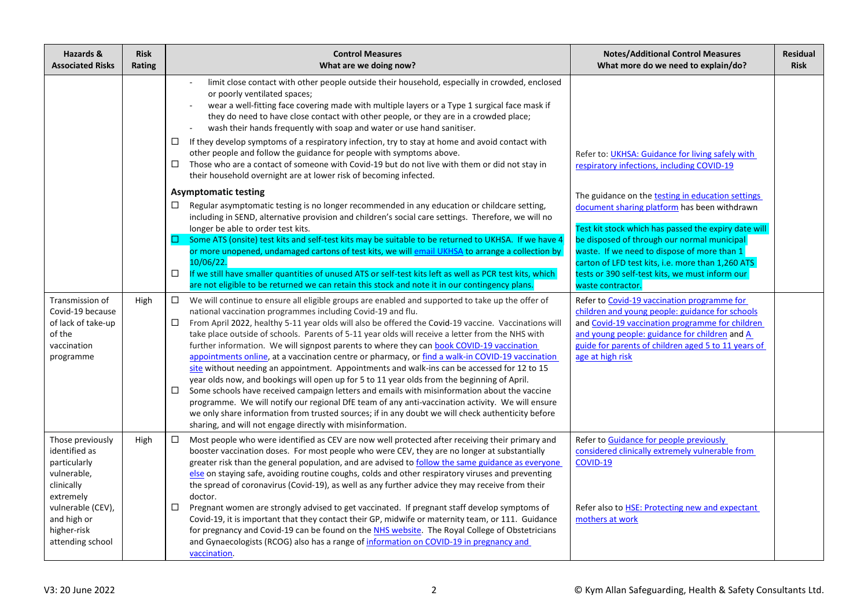| Hazards &<br><b>Associated Risks</b>                                                                                                                               | <b>Risk</b><br>Rating | <b>Control Measures</b><br>What are we doing now?                                                                                                                                                                                                                                                                                                                                                                                                                                                                                                                                                                                                                                                                                                                                                                                                                                                                                                                                                                                                                                                                                                                          | <b>Notes/Additional Control Measures</b><br>What more do we need to explain/do?                                                                                                                                                                                                                                                                                                      | <b>Residual</b><br><b>Risk</b> |
|--------------------------------------------------------------------------------------------------------------------------------------------------------------------|-----------------------|----------------------------------------------------------------------------------------------------------------------------------------------------------------------------------------------------------------------------------------------------------------------------------------------------------------------------------------------------------------------------------------------------------------------------------------------------------------------------------------------------------------------------------------------------------------------------------------------------------------------------------------------------------------------------------------------------------------------------------------------------------------------------------------------------------------------------------------------------------------------------------------------------------------------------------------------------------------------------------------------------------------------------------------------------------------------------------------------------------------------------------------------------------------------------|--------------------------------------------------------------------------------------------------------------------------------------------------------------------------------------------------------------------------------------------------------------------------------------------------------------------------------------------------------------------------------------|--------------------------------|
|                                                                                                                                                                    |                       | limit close contact with other people outside their household, especially in crowded, enclosed<br>or poorly ventilated spaces;<br>wear a well-fitting face covering made with multiple layers or a Type 1 surgical face mask if<br>they do need to have close contact with other people, or they are in a crowded place;<br>wash their hands frequently with soap and water or use hand sanitiser.<br>If they develop symptoms of a respiratory infection, try to stay at home and avoid contact with<br>□<br>other people and follow the guidance for people with symptoms above.<br>Those who are a contact of someone with Covid-19 but do not live with them or did not stay in<br>□<br>their household overnight are at lower risk of becoming infected.                                                                                                                                                                                                                                                                                                                                                                                                              | Refer to: UKHSA: Guidance for living safely with<br>respiratory infections, including COVID-19                                                                                                                                                                                                                                                                                       |                                |
|                                                                                                                                                                    |                       | <b>Asymptomatic testing</b><br>Regular asymptomatic testing is no longer recommended in any education or childcare setting,<br>□<br>including in SEND, alternative provision and children's social care settings. Therefore, we will no<br>longer be able to order test kits.<br>Some ATS (onsite) test kits and self-test kits may be suitable to be returned to UKHSA. If we have 4<br>or more unopened, undamaged cartons of test kits, we will email UKHSA to arrange a collection by<br>10/06/22.<br>$\Box$<br>If we still have smaller quantities of unused ATS or self-test kits left as well as PCR test kits, which<br>are not eligible to be returned we can retain this stock and note it in our contingency plans.                                                                                                                                                                                                                                                                                                                                                                                                                                             | The guidance on the testing in education settings<br>document sharing platform has been withdrawn<br>Test kit stock which has passed the expiry date will<br>be disposed of through our normal municipal<br>waste. If we need to dispose of more than 1<br>carton of LFD test kits, i.e. more than 1,260 ATS<br>tests or 390 self-test kits, we must inform our<br>waste contractor. |                                |
| Transmission of<br>Covid-19 because<br>of lack of take-up<br>of the<br>vaccination<br>programme                                                                    | High                  | $\Box$<br>We will continue to ensure all eligible groups are enabled and supported to take up the offer of<br>national vaccination programmes including Covid-19 and flu.<br>From April 2022, healthy 5-11 year olds will also be offered the Covid-19 vaccine. Vaccinations will<br>$\Box$<br>take place outside of schools. Parents of 5-11 year olds will receive a letter from the NHS with<br>further information. We will signpost parents to where they can book COVID-19 vaccination<br>appointments online, at a vaccination centre or pharmacy, or find a walk-in COVID-19 vaccination<br>site without needing an appointment. Appointments and walk-ins can be accessed for 12 to 15<br>year olds now, and bookings will open up for 5 to 11 year olds from the beginning of April.<br>Some schools have received campaign letters and emails with misinformation about the vaccine<br>□<br>programme. We will notify our regional DfE team of any anti-vaccination activity. We will ensure<br>we only share information from trusted sources; if in any doubt we will check authenticity before<br>sharing, and will not engage directly with misinformation. | Refer to Covid-19 vaccination programme for<br>children and young people: guidance for schools<br>and Covid-19 vaccination programme for children<br>and young people: guidance for children and A<br>guide for parents of children aged 5 to 11 years of<br>age at high risk                                                                                                        |                                |
| Those previously<br>identified as<br>particularly<br>vulnerable,<br>clinically<br>extremely<br>vulnerable (CEV),<br>and high or<br>higher-risk<br>attending school | High                  | $\Box$<br>Most people who were identified as CEV are now well protected after receiving their primary and<br>booster vaccination doses. For most people who were CEV, they are no longer at substantially<br>greater risk than the general population, and are advised to follow the same guidance as everyone<br>else on staying safe, avoiding routine coughs, colds and other respiratory viruses and preventing<br>the spread of coronavirus (Covid-19), as well as any further advice they may receive from their<br>doctor.<br>□<br>Pregnant women are strongly advised to get vaccinated. If pregnant staff develop symptoms of<br>Covid-19, it is important that they contact their GP, midwife or maternity team, or 111. Guidance<br>for pregnancy and Covid-19 can be found on the NHS website. The Royal College of Obstetricians<br>and Gynaecologists (RCOG) also has a range of information on COVID-19 in pregnancy and<br>vaccination.                                                                                                                                                                                                                    | Refer to Guidance for people previously<br>considered clinically extremely vulnerable from<br>COVID-19<br>Refer also to HSE: Protecting new and expectant<br>mothers at work                                                                                                                                                                                                         |                                |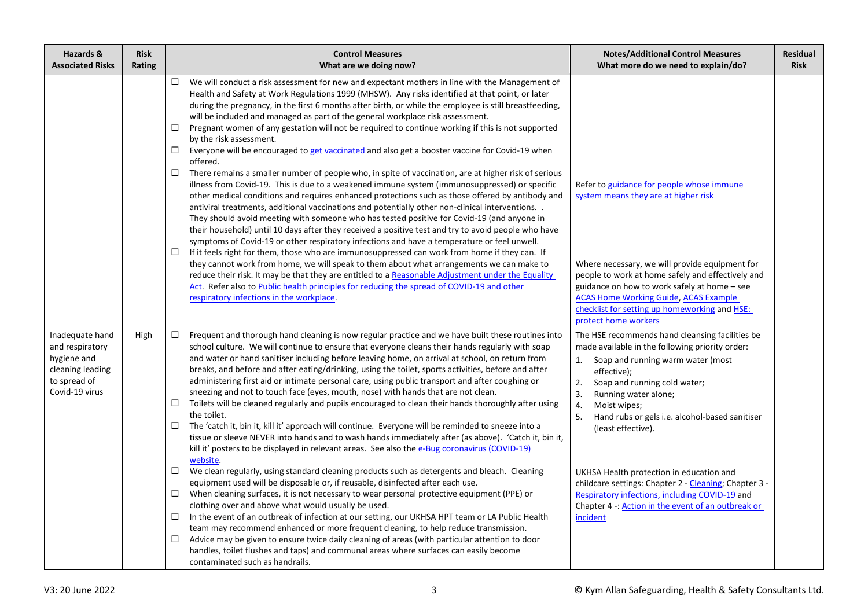| Hazards &<br><b>Associated Risks</b>                                                                    | <b>Risk</b><br>Rating | <b>Control Measures</b><br>What are we doing now?                                                                                                                                                                                                                                                                                                                                                                                                                                                                                                                                                                                                                                                                                                                                                                                                                                                                                                                                                                                                                                                                                                                                                                                                                                                                                                                                                                                                                                                                                                                                                                                                                                                                                                                                                                                                                                  | <b>Notes/Additional Control Measures</b><br>What more do we need to explain/do?                                                                                                                                                                                                                                                                                                                                                                                                                                                                            | Residual<br><b>Risk</b> |
|---------------------------------------------------------------------------------------------------------|-----------------------|------------------------------------------------------------------------------------------------------------------------------------------------------------------------------------------------------------------------------------------------------------------------------------------------------------------------------------------------------------------------------------------------------------------------------------------------------------------------------------------------------------------------------------------------------------------------------------------------------------------------------------------------------------------------------------------------------------------------------------------------------------------------------------------------------------------------------------------------------------------------------------------------------------------------------------------------------------------------------------------------------------------------------------------------------------------------------------------------------------------------------------------------------------------------------------------------------------------------------------------------------------------------------------------------------------------------------------------------------------------------------------------------------------------------------------------------------------------------------------------------------------------------------------------------------------------------------------------------------------------------------------------------------------------------------------------------------------------------------------------------------------------------------------------------------------------------------------------------------------------------------------|------------------------------------------------------------------------------------------------------------------------------------------------------------------------------------------------------------------------------------------------------------------------------------------------------------------------------------------------------------------------------------------------------------------------------------------------------------------------------------------------------------------------------------------------------------|-------------------------|
|                                                                                                         |                       | $\Box$<br>We will conduct a risk assessment for new and expectant mothers in line with the Management of<br>Health and Safety at Work Regulations 1999 (MHSW). Any risks identified at that point, or later<br>during the pregnancy, in the first 6 months after birth, or while the employee is still breastfeeding,<br>will be included and managed as part of the general workplace risk assessment.<br>Pregnant women of any gestation will not be required to continue working if this is not supported<br>□<br>by the risk assessment.<br>Everyone will be encouraged to get vaccinated and also get a booster vaccine for Covid-19 when<br>$\Box$<br>offered.<br>There remains a smaller number of people who, in spite of vaccination, are at higher risk of serious<br>$\Box$<br>illness from Covid-19. This is due to a weakened immune system (immunosuppressed) or specific<br>other medical conditions and requires enhanced protections such as those offered by antibody and<br>antiviral treatments, additional vaccinations and potentially other non-clinical interventions. .<br>They should avoid meeting with someone who has tested positive for Covid-19 (and anyone in<br>their household) until 10 days after they received a positive test and try to avoid people who have<br>symptoms of Covid-19 or other respiratory infections and have a temperature or feel unwell.<br>$\Box$<br>If it feels right for them, those who are immunosuppressed can work from home if they can. If<br>they cannot work from home, we will speak to them about what arrangements we can make to<br>reduce their risk. It may be that they are entitled to a Reasonable Adjustment under the Equality<br>Act. Refer also to Public health principles for reducing the spread of COVID-19 and other<br>respiratory infections in the workplace.                          | Refer to guidance for people whose immune<br>system means they are at higher risk<br>Where necessary, we will provide equipment for<br>people to work at home safely and effectively and<br>guidance on how to work safely at home – see<br><b>ACAS Home Working Guide, ACAS Example</b><br>checklist for setting up homeworking and <b>HSE</b> :<br>protect home workers                                                                                                                                                                                  |                         |
| Inadequate hand<br>and respiratory<br>hygiene and<br>cleaning leading<br>to spread of<br>Covid-19 virus | High                  | Frequent and thorough hand cleaning is now regular practice and we have built these routines into<br>$\Box$<br>school culture. We will continue to ensure that everyone cleans their hands regularly with soap<br>and water or hand sanitiser including before leaving home, on arrival at school, on return from<br>breaks, and before and after eating/drinking, using the toilet, sports activities, before and after<br>administering first aid or intimate personal care, using public transport and after coughing or<br>sneezing and not to touch face (eyes, mouth, nose) with hands that are not clean.<br>Toilets will be cleaned regularly and pupils encouraged to clean their hands thoroughly after using<br>$\Box$<br>the toilet.<br>The 'catch it, bin it, kill it' approach will continue. Everyone will be reminded to sneeze into a<br>$\Box$<br>tissue or sleeve NEVER into hands and to wash hands immediately after (as above). 'Catch it, bin it,<br>kill it' posters to be displayed in relevant areas. See also the e-Bug coronavirus (COVID-19)<br>website.<br>We clean regularly, using standard cleaning products such as detergents and bleach. Cleaning<br>$\Box$<br>equipment used will be disposable or, if reusable, disinfected after each use.<br>When cleaning surfaces, it is not necessary to wear personal protective equipment (PPE) or<br>clothing over and above what would usually be used.<br>$\Box$<br>In the event of an outbreak of infection at our setting, our UKHSA HPT team or LA Public Health<br>team may recommend enhanced or more frequent cleaning, to help reduce transmission.<br>Advice may be given to ensure twice daily cleaning of areas (with particular attention to door<br>$\Box$<br>handles, toilet flushes and taps) and communal areas where surfaces can easily become<br>contaminated such as handrails. | The HSE recommends hand cleansing facilities be<br>made available in the following priority order:<br>1. Soap and running warm water (most<br>effective);<br>Soap and running cold water;<br>2.<br>3.<br>Running water alone;<br>4.<br>Moist wipes;<br>5.<br>Hand rubs or gels i.e. alcohol-based sanitiser<br>(least effective).<br>UKHSA Health protection in education and<br>childcare settings: Chapter 2 - Cleaning; Chapter 3 -<br>Respiratory infections, including COVID-19 and<br>Chapter 4 -: Action in the event of an outbreak or<br>incident |                         |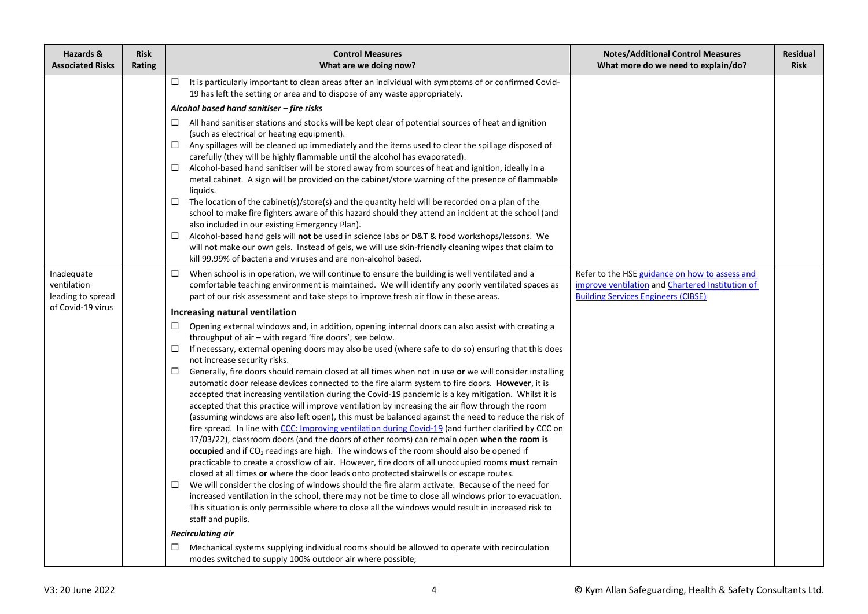| Hazards &<br><b>Associated Risks</b>           | <b>Risk</b><br>Rating | <b>Control Measures</b><br>What are we doing now?                                                                                                                                                                                                                                                                                                                                                                                                                                                                                                                                                                                                                                                                                                                                                                                                                                                                                                                                                                                                                                                                                                                                                                                                                                                                                                                                                                                                                                                                                                                                                                                                                                                            | <b>Notes/Additional Control Measures</b><br>What more do we need to explain/do?                                                                  | <b>Residual</b><br><b>Risk</b> |
|------------------------------------------------|-----------------------|--------------------------------------------------------------------------------------------------------------------------------------------------------------------------------------------------------------------------------------------------------------------------------------------------------------------------------------------------------------------------------------------------------------------------------------------------------------------------------------------------------------------------------------------------------------------------------------------------------------------------------------------------------------------------------------------------------------------------------------------------------------------------------------------------------------------------------------------------------------------------------------------------------------------------------------------------------------------------------------------------------------------------------------------------------------------------------------------------------------------------------------------------------------------------------------------------------------------------------------------------------------------------------------------------------------------------------------------------------------------------------------------------------------------------------------------------------------------------------------------------------------------------------------------------------------------------------------------------------------------------------------------------------------------------------------------------------------|--------------------------------------------------------------------------------------------------------------------------------------------------|--------------------------------|
|                                                |                       | It is particularly important to clean areas after an individual with symptoms of or confirmed Covid-<br>□.<br>19 has left the setting or area and to dispose of any waste appropriately.<br>Alcohol based hand sanitiser - fire risks<br>All hand sanitiser stations and stocks will be kept clear of potential sources of heat and ignition<br>⊔<br>(such as electrical or heating equipment).                                                                                                                                                                                                                                                                                                                                                                                                                                                                                                                                                                                                                                                                                                                                                                                                                                                                                                                                                                                                                                                                                                                                                                                                                                                                                                              |                                                                                                                                                  |                                |
|                                                |                       | Any spillages will be cleaned up immediately and the items used to clear the spillage disposed of<br>□<br>carefully (they will be highly flammable until the alcohol has evaporated).<br>Alcohol-based hand sanitiser will be stored away from sources of heat and ignition, ideally in a<br>$\Box$<br>metal cabinet. A sign will be provided on the cabinet/store warning of the presence of flammable<br>liquids.<br>The location of the cabinet(s)/store(s) and the quantity held will be recorded on a plan of the<br>□<br>school to make fire fighters aware of this hazard should they attend an incident at the school (and                                                                                                                                                                                                                                                                                                                                                                                                                                                                                                                                                                                                                                                                                                                                                                                                                                                                                                                                                                                                                                                                           |                                                                                                                                                  |                                |
|                                                |                       | also included in our existing Emergency Plan).<br>Alcohol-based hand gels will not be used in science labs or D&T & food workshops/lessons. We<br>□<br>will not make our own gels. Instead of gels, we will use skin-friendly cleaning wipes that claim to<br>kill 99.99% of bacteria and viruses and are non-alcohol based.                                                                                                                                                                                                                                                                                                                                                                                                                                                                                                                                                                                                                                                                                                                                                                                                                                                                                                                                                                                                                                                                                                                                                                                                                                                                                                                                                                                 |                                                                                                                                                  |                                |
| Inadequate<br>ventilation<br>leading to spread |                       | $\Box$<br>When school is in operation, we will continue to ensure the building is well ventilated and a<br>comfortable teaching environment is maintained. We will identify any poorly ventilated spaces as<br>part of our risk assessment and take steps to improve fresh air flow in these areas.                                                                                                                                                                                                                                                                                                                                                                                                                                                                                                                                                                                                                                                                                                                                                                                                                                                                                                                                                                                                                                                                                                                                                                                                                                                                                                                                                                                                          | Refer to the HSE guidance on how to assess and<br>improve ventilation and Chartered Institution of<br><b>Building Services Engineers (CIBSE)</b> |                                |
| of Covid-19 virus                              |                       | Increasing natural ventilation                                                                                                                                                                                                                                                                                                                                                                                                                                                                                                                                                                                                                                                                                                                                                                                                                                                                                                                                                                                                                                                                                                                                                                                                                                                                                                                                                                                                                                                                                                                                                                                                                                                                               |                                                                                                                                                  |                                |
|                                                |                       | Opening external windows and, in addition, opening internal doors can also assist with creating a<br>□<br>throughput of air - with regard 'fire doors', see below.<br>$\Box$<br>If necessary, external opening doors may also be used (where safe to do so) ensuring that this does<br>not increase security risks.<br>Generally, fire doors should remain closed at all times when not in use or we will consider installing<br>$\Box$<br>automatic door release devices connected to the fire alarm system to fire doors. However, it is<br>accepted that increasing ventilation during the Covid-19 pandemic is a key mitigation. Whilst it is<br>accepted that this practice will improve ventilation by increasing the air flow through the room<br>(assuming windows are also left open), this must be balanced against the need to reduce the risk of<br>fire spread. In line with CCC: Improving ventilation during Covid-19 (and further clarified by CCC on<br>17/03/22), classroom doors (and the doors of other rooms) can remain open when the room is<br>occupied and if $CO2$ readings are high. The windows of the room should also be opened if<br>practicable to create a crossflow of air. However, fire doors of all unoccupied rooms must remain<br>closed at all times or where the door leads onto protected stairwells or escape routes.<br>We will consider the closing of windows should the fire alarm activate. Because of the need for<br>□<br>increased ventilation in the school, there may not be time to close all windows prior to evacuation.<br>This situation is only permissible where to close all the windows would result in increased risk to<br>staff and pupils. |                                                                                                                                                  |                                |
|                                                |                       | <b>Recirculating air</b><br>Mechanical systems supplying individual rooms should be allowed to operate with recirculation<br>□                                                                                                                                                                                                                                                                                                                                                                                                                                                                                                                                                                                                                                                                                                                                                                                                                                                                                                                                                                                                                                                                                                                                                                                                                                                                                                                                                                                                                                                                                                                                                                               |                                                                                                                                                  |                                |
|                                                |                       | modes switched to supply 100% outdoor air where possible;                                                                                                                                                                                                                                                                                                                                                                                                                                                                                                                                                                                                                                                                                                                                                                                                                                                                                                                                                                                                                                                                                                                                                                                                                                                                                                                                                                                                                                                                                                                                                                                                                                                    |                                                                                                                                                  |                                |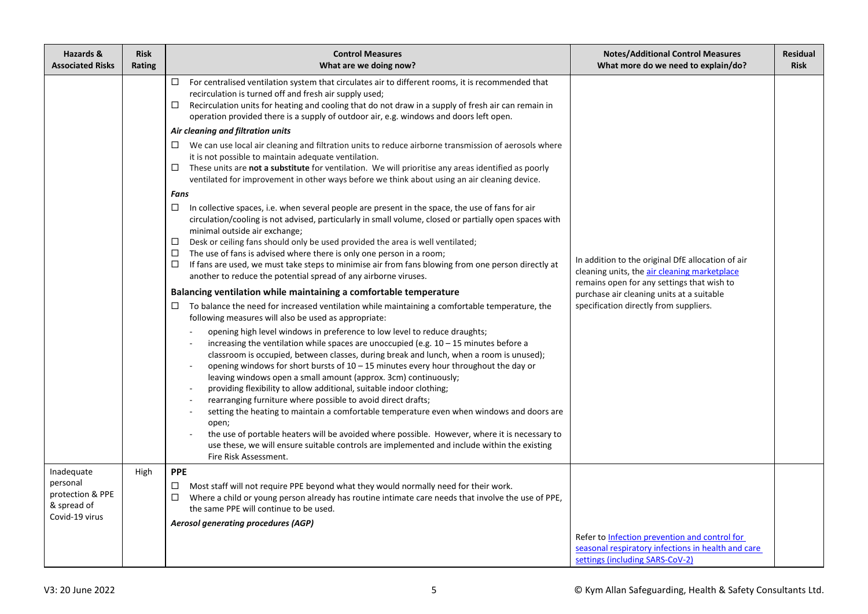| Hazards &<br><b>Associated Risks</b>                                        | <b>Risk</b><br>Rating | <b>Control Measures</b><br>What are we doing now?                                                                                                                                                                                                                                                                                                                                                                                                                                                                                                                                                                                                                                                                                                                                                                                                                                                                                                                                                                                                                                                                                                                                                                                                                                                                                                                                                                                                                                                                                                                                                                                                                                                                                                                                                                                                                                                                                                                                                                                                                                                                                                                                                                                                                                                                                                                                                                                                                                                                                                                                | <b>Notes/Additional Control Measures</b><br>What more do we need to explain/do?                                                                                                                                                        | <b>Residual</b><br><b>Risk</b> |
|-----------------------------------------------------------------------------|-----------------------|----------------------------------------------------------------------------------------------------------------------------------------------------------------------------------------------------------------------------------------------------------------------------------------------------------------------------------------------------------------------------------------------------------------------------------------------------------------------------------------------------------------------------------------------------------------------------------------------------------------------------------------------------------------------------------------------------------------------------------------------------------------------------------------------------------------------------------------------------------------------------------------------------------------------------------------------------------------------------------------------------------------------------------------------------------------------------------------------------------------------------------------------------------------------------------------------------------------------------------------------------------------------------------------------------------------------------------------------------------------------------------------------------------------------------------------------------------------------------------------------------------------------------------------------------------------------------------------------------------------------------------------------------------------------------------------------------------------------------------------------------------------------------------------------------------------------------------------------------------------------------------------------------------------------------------------------------------------------------------------------------------------------------------------------------------------------------------------------------------------------------------------------------------------------------------------------------------------------------------------------------------------------------------------------------------------------------------------------------------------------------------------------------------------------------------------------------------------------------------------------------------------------------------------------------------------------------------|----------------------------------------------------------------------------------------------------------------------------------------------------------------------------------------------------------------------------------------|--------------------------------|
|                                                                             |                       | For centralised ventilation system that circulates air to different rooms, it is recommended that<br>$\Box$<br>recirculation is turned off and fresh air supply used;<br>Recirculation units for heating and cooling that do not draw in a supply of fresh air can remain in<br>$\Box$<br>operation provided there is a supply of outdoor air, e.g. windows and doors left open.<br>Air cleaning and filtration units<br>$\Box$ We can use local air cleaning and filtration units to reduce airborne transmission of aerosols where<br>it is not possible to maintain adequate ventilation.<br>These units are not a substitute for ventilation. We will prioritise any areas identified as poorly<br>□<br>ventilated for improvement in other ways before we think about using an air cleaning device.<br>Fans<br>□<br>In collective spaces, i.e. when several people are present in the space, the use of fans for air<br>circulation/cooling is not advised, particularly in small volume, closed or partially open spaces with<br>minimal outside air exchange;<br>Desk or ceiling fans should only be used provided the area is well ventilated;<br>$\Box$<br>The use of fans is advised where there is only one person in a room;<br>$\Box$<br>$\Box$<br>If fans are used, we must take steps to minimise air from fans blowing from one person directly at<br>another to reduce the potential spread of any airborne viruses.<br>Balancing ventilation while maintaining a comfortable temperature<br>To balance the need for increased ventilation while maintaining a comfortable temperature, the<br>□<br>following measures will also be used as appropriate:<br>opening high level windows in preference to low level to reduce draughts;<br>increasing the ventilation while spaces are unoccupied (e.g. $10 - 15$ minutes before a<br>classroom is occupied, between classes, during break and lunch, when a room is unused);<br>opening windows for short bursts of $10 - 15$ minutes every hour throughout the day or<br>leaving windows open a small amount (approx. 3cm) continuously;<br>providing flexibility to allow additional, suitable indoor clothing;<br>rearranging furniture where possible to avoid direct drafts;<br>setting the heating to maintain a comfortable temperature even when windows and doors are<br>open;<br>the use of portable heaters will be avoided where possible. However, where it is necessary to<br>use these, we will ensure suitable controls are implemented and include within the existing<br>Fire Risk Assessment. | In addition to the original DfE allocation of air<br>cleaning units, the air cleaning marketplace<br>remains open for any settings that wish to<br>purchase air cleaning units at a suitable<br>specification directly from suppliers. |                                |
| Inadequate<br>personal<br>protection & PPE<br>& spread of<br>Covid-19 virus | High                  | <b>PPE</b><br>Most staff will not require PPE beyond what they would normally need for their work.<br>$\Box$<br>$\Box$<br>Where a child or young person already has routine intimate care needs that involve the use of PPE,<br>the same PPE will continue to be used.<br>Aerosol generating procedures (AGP)                                                                                                                                                                                                                                                                                                                                                                                                                                                                                                                                                                                                                                                                                                                                                                                                                                                                                                                                                                                                                                                                                                                                                                                                                                                                                                                                                                                                                                                                                                                                                                                                                                                                                                                                                                                                                                                                                                                                                                                                                                                                                                                                                                                                                                                                    | Refer to Infection prevention and control for<br>seasonal respiratory infections in health and care<br>settings (including SARS-CoV-2)                                                                                                 |                                |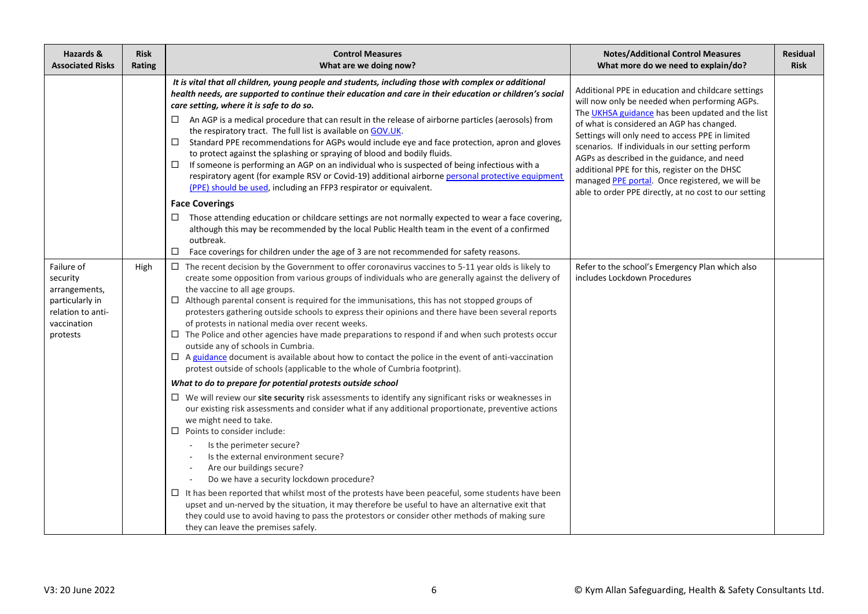| Hazards &<br><b>Associated Risks</b>                                                                       | <b>Risk</b><br>Rating | <b>Control Measures</b><br>What are we doing now?                                                                                                                                                                                                                                                                                                                                                                                                                                                                                                                                                                                                                                                                                                                                                                                                                                                                                                                                                                                                                                                                                                                                                                                                        | <b>Notes/Additional Control Measures</b><br>What more do we need to explain/do?                                                                                                                                                                                                                                                                                                                                                                                                                                          | <b>Residual</b><br><b>Risk</b> |
|------------------------------------------------------------------------------------------------------------|-----------------------|----------------------------------------------------------------------------------------------------------------------------------------------------------------------------------------------------------------------------------------------------------------------------------------------------------------------------------------------------------------------------------------------------------------------------------------------------------------------------------------------------------------------------------------------------------------------------------------------------------------------------------------------------------------------------------------------------------------------------------------------------------------------------------------------------------------------------------------------------------------------------------------------------------------------------------------------------------------------------------------------------------------------------------------------------------------------------------------------------------------------------------------------------------------------------------------------------------------------------------------------------------|--------------------------------------------------------------------------------------------------------------------------------------------------------------------------------------------------------------------------------------------------------------------------------------------------------------------------------------------------------------------------------------------------------------------------------------------------------------------------------------------------------------------------|--------------------------------|
|                                                                                                            |                       | It is vital that all children, young people and students, including those with complex or additional<br>health needs, are supported to continue their education and care in their education or children's social<br>care setting, where it is safe to do so.<br>An AGP is a medical procedure that can result in the release of airborne particles (aerosols) from<br>$\Box$<br>the respiratory tract. The full list is available on GOV.UK.<br>Standard PPE recommendations for AGPs would include eye and face protection, apron and gloves<br>□<br>to protect against the splashing or spraying of blood and bodily fluids.<br>If someone is performing an AGP on an individual who is suspected of being infectious with a<br>□<br>respiratory agent (for example RSV or Covid-19) additional airborne personal protective equipment<br>(PPE) should be used, including an FFP3 respirator or equivalent.<br><b>Face Coverings</b><br>Those attending education or childcare settings are not normally expected to wear a face covering,<br>although this may be recommended by the local Public Health team in the event of a confirmed<br>outbreak.<br>□<br>Face coverings for children under the age of 3 are not recommended for safety reasons. | Additional PPE in education and childcare settings<br>will now only be needed when performing AGPs.<br>The UKHSA guidance has been updated and the list<br>of what is considered an AGP has changed.<br>Settings will only need to access PPE in limited<br>scenarios. If individuals in our setting perform<br>AGPs as described in the guidance, and need<br>additional PPE for this, register on the DHSC<br>managed PPE portal. Once registered, we will be<br>able to order PPE directly, at no cost to our setting |                                |
| Failure of<br>security<br>arrangements,<br>particularly in<br>relation to anti-<br>vaccination<br>protests | High                  | The recent decision by the Government to offer coronavirus vaccines to 5-11 year olds is likely to<br>$\Box$<br>create some opposition from various groups of individuals who are generally against the delivery of<br>the vaccine to all age groups.<br>$\Box$ Although parental consent is required for the immunisations, this has not stopped groups of<br>protesters gathering outside schools to express their opinions and there have been several reports<br>of protests in national media over recent weeks.<br>$\Box$ The Police and other agencies have made preparations to respond if and when such protests occur<br>outside any of schools in Cumbria.<br>$\Box$ A guidance document is available about how to contact the police in the event of anti-vaccination<br>protest outside of schools (applicable to the whole of Cumbria footprint).<br>What to do to prepare for potential protests outside school<br>We will review our site security risk assessments to identify any significant risks or weaknesses in<br>$\Box$<br>our existing risk assessments and consider what if any additional proportionate, preventive actions                                                                                                  | Refer to the school's Emergency Plan which also<br>includes Lockdown Procedures                                                                                                                                                                                                                                                                                                                                                                                                                                          |                                |
|                                                                                                            |                       | we might need to take.<br>$\Box$ Points to consider include:<br>Is the perimeter secure?<br>Is the external environment secure?<br>Are our buildings secure?<br>Do we have a security lockdown procedure?<br>$\Box$ It has been reported that whilst most of the protests have been peaceful, some students have been<br>upset and un-nerved by the situation, it may therefore be useful to have an alternative exit that<br>they could use to avoid having to pass the protestors or consider other methods of making sure<br>they can leave the premises safely.                                                                                                                                                                                                                                                                                                                                                                                                                                                                                                                                                                                                                                                                                      |                                                                                                                                                                                                                                                                                                                                                                                                                                                                                                                          |                                |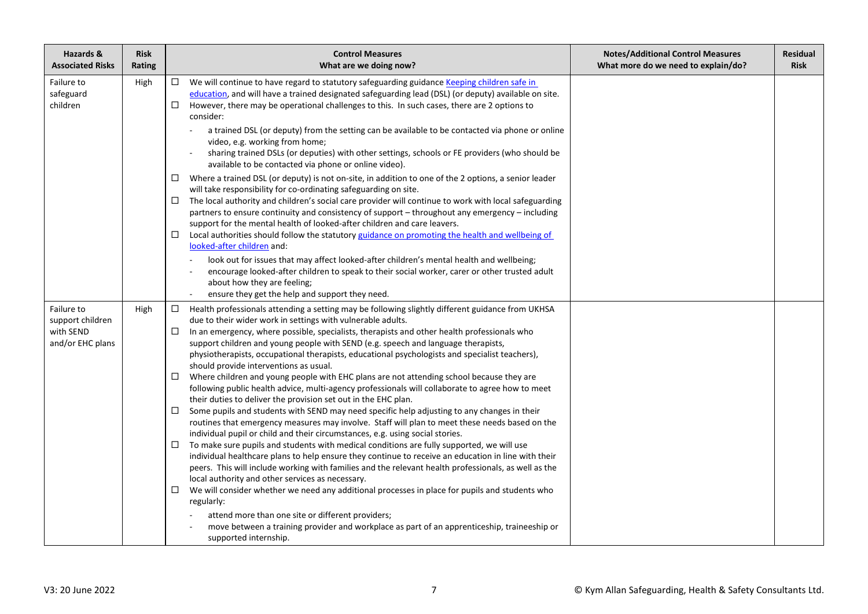| Hazards &<br><b>Associated Risks</b>                            | <b>Risk</b><br><b>Rating</b> | <b>Control Measures</b><br>What are we doing now?                                                                                                                                                                                                                                                                                                                                                                                                                                                                                                                                                                                                                                                                                                                                                                                                                                                                                                                                                                                                                                                                                                                                                                                                                                                                                                                                                                                                                                                                                                                                                                                                                                                                                               | <b>Notes/Additional Control Measures</b><br>What more do we need to explain/do? | <b>Residual</b><br><b>Risk</b> |
|-----------------------------------------------------------------|------------------------------|-------------------------------------------------------------------------------------------------------------------------------------------------------------------------------------------------------------------------------------------------------------------------------------------------------------------------------------------------------------------------------------------------------------------------------------------------------------------------------------------------------------------------------------------------------------------------------------------------------------------------------------------------------------------------------------------------------------------------------------------------------------------------------------------------------------------------------------------------------------------------------------------------------------------------------------------------------------------------------------------------------------------------------------------------------------------------------------------------------------------------------------------------------------------------------------------------------------------------------------------------------------------------------------------------------------------------------------------------------------------------------------------------------------------------------------------------------------------------------------------------------------------------------------------------------------------------------------------------------------------------------------------------------------------------------------------------------------------------------------------------|---------------------------------------------------------------------------------|--------------------------------|
| Failure to<br>safeguard<br>children                             | High                         | $\Box$ We will continue to have regard to statutory safeguarding guidance Keeping children safe in<br>education, and will have a trained designated safeguarding lead (DSL) (or deputy) available on site.<br>However, there may be operational challenges to this. In such cases, there are 2 options to<br>□.<br>consider:<br>a trained DSL (or deputy) from the setting can be available to be contacted via phone or online<br>video, e.g. working from home;<br>sharing trained DSLs (or deputies) with other settings, schools or FE providers (who should be<br>available to be contacted via phone or online video).<br>Where a trained DSL (or deputy) is not on-site, in addition to one of the 2 options, a senior leader<br>$\Box$<br>will take responsibility for co-ordinating safeguarding on site.<br>The local authority and children's social care provider will continue to work with local safeguarding<br>partners to ensure continuity and consistency of support - throughout any emergency - including<br>support for the mental health of looked-after children and care leavers.<br>Local authorities should follow the statutory guidance on promoting the health and wellbeing of<br>□<br>looked-after children and:<br>look out for issues that may affect looked-after children's mental health and wellbeing;<br>encourage looked-after children to speak to their social worker, carer or other trusted adult<br>about how they are feeling;<br>ensure they get the help and support they need.                                                                                                                                                                                                                 |                                                                                 |                                |
| Failure to<br>support children<br>with SEND<br>and/or EHC plans | High                         | Health professionals attending a setting may be following slightly different guidance from UKHSA<br>□.<br>due to their wider work in settings with vulnerable adults.<br>In an emergency, where possible, specialists, therapists and other health professionals who<br>support children and young people with SEND (e.g. speech and language therapists,<br>physiotherapists, occupational therapists, educational psychologists and specialist teachers),<br>should provide interventions as usual.<br>Where children and young people with EHC plans are not attending school because they are<br>$\Box$<br>following public health advice, multi-agency professionals will collaborate to agree how to meet<br>their duties to deliver the provision set out in the EHC plan.<br>Some pupils and students with SEND may need specific help adjusting to any changes in their<br>$\Box$<br>routines that emergency measures may involve. Staff will plan to meet these needs based on the<br>individual pupil or child and their circumstances, e.g. using social stories.<br>To make sure pupils and students with medical conditions are fully supported, we will use<br>□<br>individual healthcare plans to help ensure they continue to receive an education in line with their<br>peers. This will include working with families and the relevant health professionals, as well as the<br>local authority and other services as necessary.<br>We will consider whether we need any additional processes in place for pupils and students who<br>regularly:<br>attend more than one site or different providers;<br>move between a training provider and workplace as part of an apprenticeship, traineeship or<br>supported internship. |                                                                                 |                                |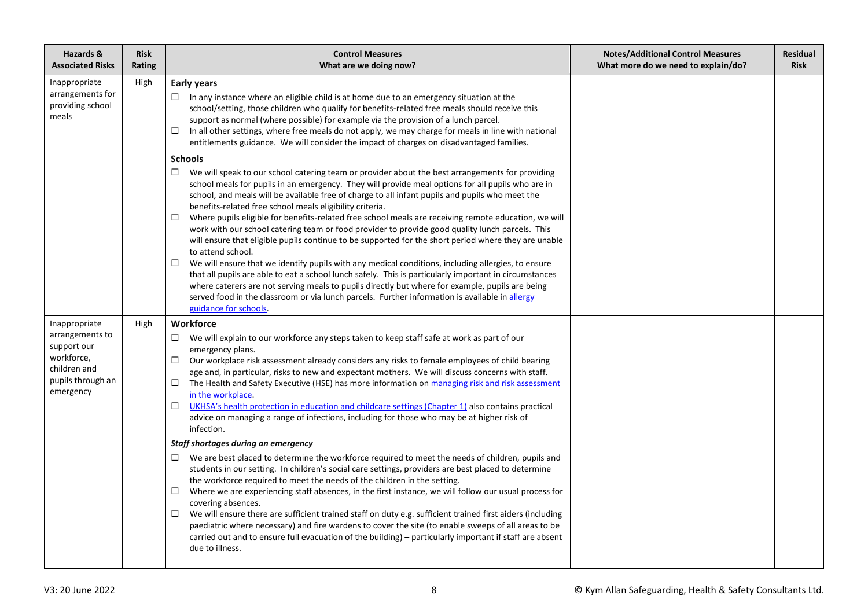| Hazards &<br><b>Associated Risks</b>                                                                            | <b>Risk</b><br>Rating | <b>Control Measures</b><br>What are we doing now?                                                                                                                                                                                                                                                                                                                                                                                                                                                                                                                                                                                                                                                                                                                                                                                                                                                                                                                                                                                                                                                                                                                                                                                                                                                                                                                                                                                                                                                                                                                                                                                                                                                              | <b>Notes/Additional Control Measures</b><br>What more do we need to explain/do? | Residual<br><b>Risk</b> |
|-----------------------------------------------------------------------------------------------------------------|-----------------------|----------------------------------------------------------------------------------------------------------------------------------------------------------------------------------------------------------------------------------------------------------------------------------------------------------------------------------------------------------------------------------------------------------------------------------------------------------------------------------------------------------------------------------------------------------------------------------------------------------------------------------------------------------------------------------------------------------------------------------------------------------------------------------------------------------------------------------------------------------------------------------------------------------------------------------------------------------------------------------------------------------------------------------------------------------------------------------------------------------------------------------------------------------------------------------------------------------------------------------------------------------------------------------------------------------------------------------------------------------------------------------------------------------------------------------------------------------------------------------------------------------------------------------------------------------------------------------------------------------------------------------------------------------------------------------------------------------------|---------------------------------------------------------------------------------|-------------------------|
| Inappropriate<br>arrangements for<br>providing school<br>meals                                                  | High                  | <b>Early years</b><br>$\Box$ In any instance where an eligible child is at home due to an emergency situation at the<br>school/setting, those children who qualify for benefits-related free meals should receive this<br>support as normal (where possible) for example via the provision of a lunch parcel.<br>□<br>In all other settings, where free meals do not apply, we may charge for meals in line with national<br>entitlements guidance. We will consider the impact of charges on disadvantaged families.<br><b>Schools</b><br>We will speak to our school catering team or provider about the best arrangements for providing<br>school meals for pupils in an emergency. They will provide meal options for all pupils who are in<br>school, and meals will be available free of charge to all infant pupils and pupils who meet the<br>benefits-related free school meals eligibility criteria.<br>Where pupils eligible for benefits-related free school meals are receiving remote education, we will<br>work with our school catering team or food provider to provide good quality lunch parcels. This<br>will ensure that eligible pupils continue to be supported for the short period where they are unable<br>to attend school.<br>$\Box$<br>We will ensure that we identify pupils with any medical conditions, including allergies, to ensure<br>that all pupils are able to eat a school lunch safely. This is particularly important in circumstances<br>where caterers are not serving meals to pupils directly but where for example, pupils are being<br>served food in the classroom or via lunch parcels. Further information is available in allergy<br>guidance for schools. |                                                                                 |                         |
| Inappropriate<br>arrangements to<br>support our<br>workforce,<br>children and<br>pupils through an<br>emergency | High                  | <b>Workforce</b><br>We will explain to our workforce any steps taken to keep staff safe at work as part of our<br>$\Box$<br>emergency plans.<br>Our workplace risk assessment already considers any risks to female employees of child bearing<br>□<br>age and, in particular, risks to new and expectant mothers. We will discuss concerns with staff.<br>The Health and Safety Executive (HSE) has more information on managing risk and risk assessment<br>□<br>in the workplace.<br>UKHSA's health protection in education and childcare settings (Chapter 1) also contains practical<br>□<br>advice on managing a range of infections, including for those who may be at higher risk of<br>infection.<br>Staff shortages during an emergency<br>$\Box$ We are best placed to determine the workforce required to meet the needs of children, pupils and<br>students in our setting. In children's social care settings, providers are best placed to determine<br>the workforce required to meet the needs of the children in the setting.<br>Where we are experiencing staff absences, in the first instance, we will follow our usual process for<br>covering absences.<br>We will ensure there are sufficient trained staff on duty e.g. sufficient trained first aiders (including<br>paediatric where necessary) and fire wardens to cover the site (to enable sweeps of all areas to be<br>carried out and to ensure full evacuation of the building) - particularly important if staff are absent<br>due to illness.                                                                                                                                                                               |                                                                                 |                         |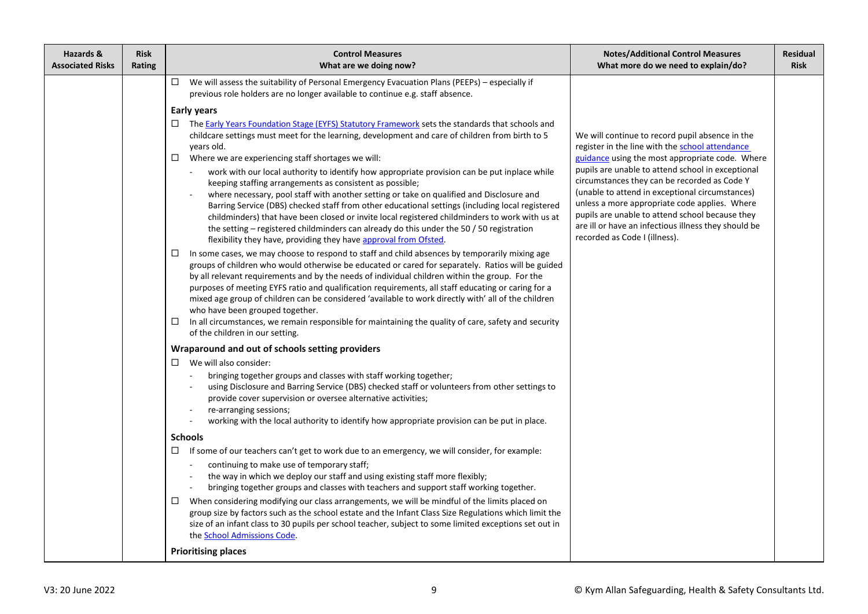| Hazards &<br><b>Associated Risks</b> | <b>Risk</b><br>Rating | <b>Control Measures</b><br>What are we doing now?                                                                                                                                                                                                                                                                                                                                                                                                                                                                                                                                                                                                                                                              | <b>Notes/Additional Control Measures</b><br>What more do we need to explain/do?                                                                                                                                                                                                                                                                   | <b>Residual</b><br><b>Risk</b> |
|--------------------------------------|-----------------------|----------------------------------------------------------------------------------------------------------------------------------------------------------------------------------------------------------------------------------------------------------------------------------------------------------------------------------------------------------------------------------------------------------------------------------------------------------------------------------------------------------------------------------------------------------------------------------------------------------------------------------------------------------------------------------------------------------------|---------------------------------------------------------------------------------------------------------------------------------------------------------------------------------------------------------------------------------------------------------------------------------------------------------------------------------------------------|--------------------------------|
|                                      |                       | We will assess the suitability of Personal Emergency Evacuation Plans (PEEPs) - especially if<br>$\Box$<br>previous role holders are no longer available to continue e.g. staff absence.                                                                                                                                                                                                                                                                                                                                                                                                                                                                                                                       |                                                                                                                                                                                                                                                                                                                                                   |                                |
|                                      |                       | <b>Early years</b>                                                                                                                                                                                                                                                                                                                                                                                                                                                                                                                                                                                                                                                                                             |                                                                                                                                                                                                                                                                                                                                                   |                                |
|                                      |                       | $\Box$ The Early Years Foundation Stage (EYFS) Statutory Framework sets the standards that schools and<br>childcare settings must meet for the learning, development and care of children from birth to 5<br>years old.<br>Where we are experiencing staff shortages we will:<br>$\Box$                                                                                                                                                                                                                                                                                                                                                                                                                        | We will continue to record pupil absence in the<br>register in the line with the school attendance<br>guidance using the most appropriate code. Where                                                                                                                                                                                             |                                |
|                                      |                       | work with our local authority to identify how appropriate provision can be put inplace while<br>$\overline{\phantom{a}}$<br>keeping staffing arrangements as consistent as possible;<br>where necessary, pool staff with another setting or take on qualified and Disclosure and<br>Barring Service (DBS) checked staff from other educational settings (including local registered<br>childminders) that have been closed or invite local registered childminders to work with us at<br>the setting – registered childminders can already do this under the 50 $/$ 50 registration<br>flexibility they have, providing they have approval from Ofsted.                                                        | pupils are unable to attend school in exceptional<br>circumstances they can be recorded as Code Y<br>(unable to attend in exceptional circumstances)<br>unless a more appropriate code applies. Where<br>pupils are unable to attend school because they<br>are ill or have an infectious illness they should be<br>recorded as Code I (illness). |                                |
|                                      |                       | In some cases, we may choose to respond to staff and child absences by temporarily mixing age<br>$\Box$<br>groups of children who would otherwise be educated or cared for separately. Ratios will be guided<br>by all relevant requirements and by the needs of individual children within the group. For the<br>purposes of meeting EYFS ratio and qualification requirements, all staff educating or caring for a<br>mixed age group of children can be considered 'available to work directly with' all of the children<br>who have been grouped together.<br>In all circumstances, we remain responsible for maintaining the quality of care, safety and security<br>0<br>of the children in our setting. |                                                                                                                                                                                                                                                                                                                                                   |                                |
|                                      |                       | Wraparound and out of schools setting providers                                                                                                                                                                                                                                                                                                                                                                                                                                                                                                                                                                                                                                                                |                                                                                                                                                                                                                                                                                                                                                   |                                |
|                                      |                       | We will also consider:                                                                                                                                                                                                                                                                                                                                                                                                                                                                                                                                                                                                                                                                                         |                                                                                                                                                                                                                                                                                                                                                   |                                |
|                                      |                       | bringing together groups and classes with staff working together;<br>using Disclosure and Barring Service (DBS) checked staff or volunteers from other settings to<br>provide cover supervision or oversee alternative activities;<br>re-arranging sessions;<br>working with the local authority to identify how appropriate provision can be put in place.                                                                                                                                                                                                                                                                                                                                                    |                                                                                                                                                                                                                                                                                                                                                   |                                |
|                                      |                       | <b>Schools</b>                                                                                                                                                                                                                                                                                                                                                                                                                                                                                                                                                                                                                                                                                                 |                                                                                                                                                                                                                                                                                                                                                   |                                |
|                                      |                       | □<br>If some of our teachers can't get to work due to an emergency, we will consider, for example:                                                                                                                                                                                                                                                                                                                                                                                                                                                                                                                                                                                                             |                                                                                                                                                                                                                                                                                                                                                   |                                |
|                                      |                       | continuing to make use of temporary staff;<br>the way in which we deploy our staff and using existing staff more flexibly;<br>bringing together groups and classes with teachers and support staff working together.                                                                                                                                                                                                                                                                                                                                                                                                                                                                                           |                                                                                                                                                                                                                                                                                                                                                   |                                |
|                                      |                       | When considering modifying our class arrangements, we will be mindful of the limits placed on<br>$\Box$<br>group size by factors such as the school estate and the Infant Class Size Regulations which limit the<br>size of an infant class to 30 pupils per school teacher, subject to some limited exceptions set out in<br>the <b>School Admissions Code</b> .                                                                                                                                                                                                                                                                                                                                              |                                                                                                                                                                                                                                                                                                                                                   |                                |
|                                      |                       | <b>Prioritising places</b>                                                                                                                                                                                                                                                                                                                                                                                                                                                                                                                                                                                                                                                                                     |                                                                                                                                                                                                                                                                                                                                                   |                                |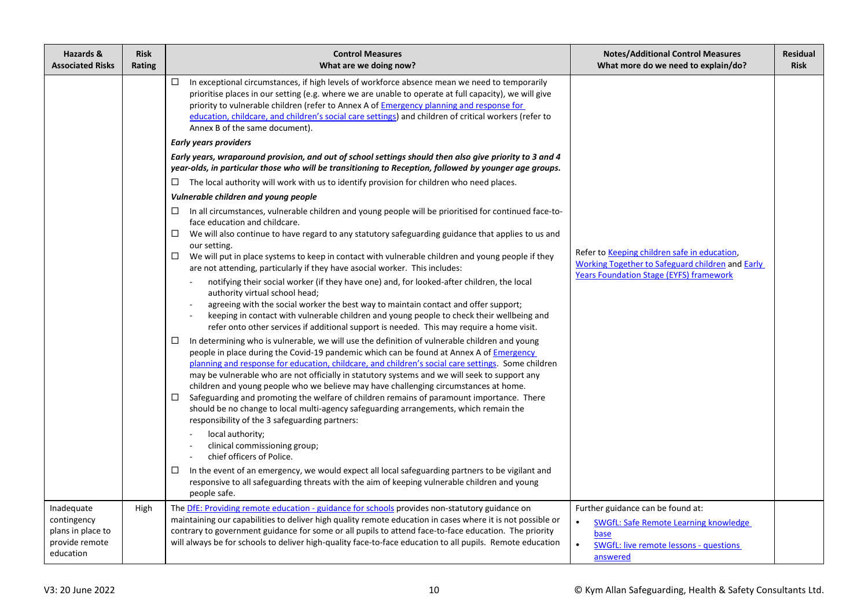| Hazards &<br><b>Associated Risks</b>                                          | <b>Risk</b><br>Rating | <b>Control Measures</b><br>What are we doing now?                                                                                                                                                                                                                                                                                                                                                                                                                                                                                                                                                                                                                                                                                                                                                                                                                                                                                                                                                                                                                                                                                                                                                                                                                                                                                                                                                                                                                                                                                                                                                                                                                                                                                                                                                                                                                                                                                                                             | <b>Notes/Additional Control Measures</b><br>What more do we need to explain/do?                                                                           | <b>Residual</b><br><b>Risk</b> |
|-------------------------------------------------------------------------------|-----------------------|-------------------------------------------------------------------------------------------------------------------------------------------------------------------------------------------------------------------------------------------------------------------------------------------------------------------------------------------------------------------------------------------------------------------------------------------------------------------------------------------------------------------------------------------------------------------------------------------------------------------------------------------------------------------------------------------------------------------------------------------------------------------------------------------------------------------------------------------------------------------------------------------------------------------------------------------------------------------------------------------------------------------------------------------------------------------------------------------------------------------------------------------------------------------------------------------------------------------------------------------------------------------------------------------------------------------------------------------------------------------------------------------------------------------------------------------------------------------------------------------------------------------------------------------------------------------------------------------------------------------------------------------------------------------------------------------------------------------------------------------------------------------------------------------------------------------------------------------------------------------------------------------------------------------------------------------------------------------------------|-----------------------------------------------------------------------------------------------------------------------------------------------------------|--------------------------------|
|                                                                               |                       | $\Box$<br>In exceptional circumstances, if high levels of workforce absence mean we need to temporarily<br>prioritise places in our setting (e.g. where we are unable to operate at full capacity), we will give<br>priority to vulnerable children (refer to Annex A of <b>Emergency planning and response for</b><br>education, childcare, and children's social care settings) and children of critical workers (refer to<br>Annex B of the same document).                                                                                                                                                                                                                                                                                                                                                                                                                                                                                                                                                                                                                                                                                                                                                                                                                                                                                                                                                                                                                                                                                                                                                                                                                                                                                                                                                                                                                                                                                                                |                                                                                                                                                           |                                |
|                                                                               |                       | <b>Early years providers</b>                                                                                                                                                                                                                                                                                                                                                                                                                                                                                                                                                                                                                                                                                                                                                                                                                                                                                                                                                                                                                                                                                                                                                                                                                                                                                                                                                                                                                                                                                                                                                                                                                                                                                                                                                                                                                                                                                                                                                  |                                                                                                                                                           |                                |
|                                                                               |                       | Early years, wraparound provision, and out of school settings should then also give priority to 3 and 4<br>year-olds, in particular those who will be transitioning to Reception, followed by younger age groups.                                                                                                                                                                                                                                                                                                                                                                                                                                                                                                                                                                                                                                                                                                                                                                                                                                                                                                                                                                                                                                                                                                                                                                                                                                                                                                                                                                                                                                                                                                                                                                                                                                                                                                                                                             |                                                                                                                                                           |                                |
|                                                                               |                       | $\Box$ The local authority will work with us to identify provision for children who need places.                                                                                                                                                                                                                                                                                                                                                                                                                                                                                                                                                                                                                                                                                                                                                                                                                                                                                                                                                                                                                                                                                                                                                                                                                                                                                                                                                                                                                                                                                                                                                                                                                                                                                                                                                                                                                                                                              |                                                                                                                                                           |                                |
|                                                                               |                       | Vulnerable children and young people                                                                                                                                                                                                                                                                                                                                                                                                                                                                                                                                                                                                                                                                                                                                                                                                                                                                                                                                                                                                                                                                                                                                                                                                                                                                                                                                                                                                                                                                                                                                                                                                                                                                                                                                                                                                                                                                                                                                          |                                                                                                                                                           |                                |
|                                                                               |                       | In all circumstances, vulnerable children and young people will be prioritised for continued face-to-<br>$\Box$<br>face education and childcare.<br>$\Box$<br>We will also continue to have regard to any statutory safeguarding guidance that applies to us and<br>our setting.<br>We will put in place systems to keep in contact with vulnerable children and young people if they<br>$\Box$<br>are not attending, particularly if they have asocial worker. This includes:<br>notifying their social worker (if they have one) and, for looked-after children, the local<br>authority virtual school head;<br>agreeing with the social worker the best way to maintain contact and offer support;<br>keeping in contact with vulnerable children and young people to check their wellbeing and<br>refer onto other services if additional support is needed. This may require a home visit.<br>In determining who is vulnerable, we will use the definition of vulnerable children and young<br>$\Box$<br>people in place during the Covid-19 pandemic which can be found at Annex A of <i>Emergency</i><br>planning and response for education, childcare, and children's social care settings. Some children<br>may be vulnerable who are not officially in statutory systems and we will seek to support any<br>children and young people who we believe may have challenging circumstances at home.<br>Safeguarding and promoting the welfare of children remains of paramount importance. There<br>$\Box$<br>should be no change to local multi-agency safeguarding arrangements, which remain the<br>responsibility of the 3 safeguarding partners:<br>local authority;<br>clinical commissioning group;<br>chief officers of Police.<br>In the event of an emergency, we would expect all local safeguarding partners to be vigilant and<br>$\Box$<br>responsive to all safeguarding threats with the aim of keeping vulnerable children and young<br>people safe. | Refer to Keeping children safe in education,<br><b>Working Together to Safeguard children and Early</b><br><b>Years Foundation Stage (EYFS) framework</b> |                                |
| Inadequate<br>contingency<br>plans in place to<br>provide remote<br>education | High                  | The DfE: Providing remote education - guidance for schools provides non-statutory guidance on<br>maintaining our capabilities to deliver high quality remote education in cases where it is not possible or<br>contrary to government guidance for some or all pupils to attend face-to-face education. The priority<br>will always be for schools to deliver high-quality face-to-face education to all pupils. Remote education                                                                                                                                                                                                                                                                                                                                                                                                                                                                                                                                                                                                                                                                                                                                                                                                                                                                                                                                                                                                                                                                                                                                                                                                                                                                                                                                                                                                                                                                                                                                             | Further guidance can be found at:<br>SWGfL: Safe Remote Learning knowledge<br>base<br>SWGfL: live remote lessons - questions<br>answered                  |                                |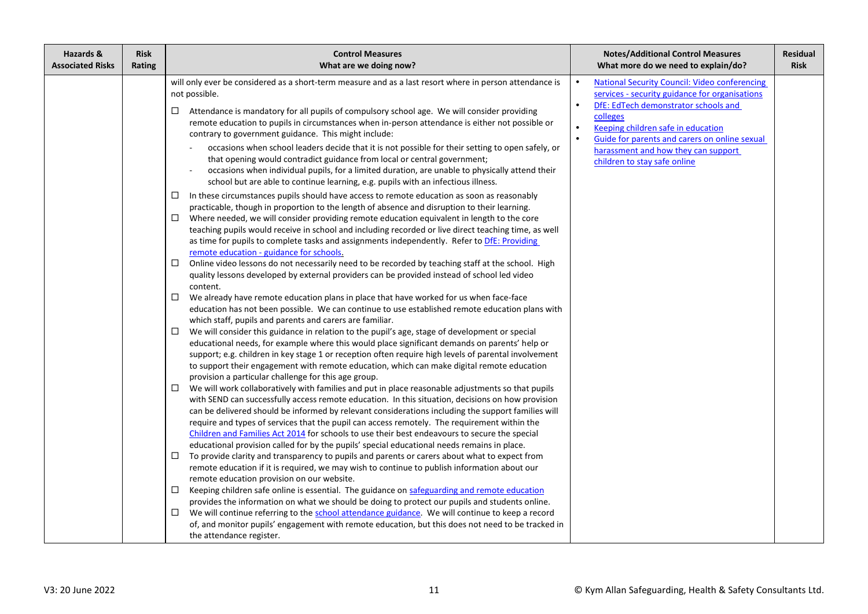| Hazards &<br><b>Risk</b><br><b>Associated Risks</b><br>Rating | <b>Control Measures</b><br>What are we doing now?                                                                                                                                                                                                                                                                                                                                                                                                                                                                                                                                                                                                                                                                                                                                                                                                                                                                                                                                                                                                                                                                                                                                                                                                                                                                                                                                                                                                                                                                                                                                                                                                                                                                                                                                                                                                                                                                                                                                                                                                                                                                                                                                                                                                                                                                                                                                                                                                                                                                                                                                                                                                                                                                                                                                                                                                                                                                                                                                                                                                                                                                                                                                                                                                                                                                                                                                                                                                                                                                                                                                                                                                   | <b>Notes/Additional Control Measures</b><br>What more do we need to explain/do?                                                                                                                                                                                                                                                                    | <b>Residual</b><br><b>Risk</b> |
|---------------------------------------------------------------|-----------------------------------------------------------------------------------------------------------------------------------------------------------------------------------------------------------------------------------------------------------------------------------------------------------------------------------------------------------------------------------------------------------------------------------------------------------------------------------------------------------------------------------------------------------------------------------------------------------------------------------------------------------------------------------------------------------------------------------------------------------------------------------------------------------------------------------------------------------------------------------------------------------------------------------------------------------------------------------------------------------------------------------------------------------------------------------------------------------------------------------------------------------------------------------------------------------------------------------------------------------------------------------------------------------------------------------------------------------------------------------------------------------------------------------------------------------------------------------------------------------------------------------------------------------------------------------------------------------------------------------------------------------------------------------------------------------------------------------------------------------------------------------------------------------------------------------------------------------------------------------------------------------------------------------------------------------------------------------------------------------------------------------------------------------------------------------------------------------------------------------------------------------------------------------------------------------------------------------------------------------------------------------------------------------------------------------------------------------------------------------------------------------------------------------------------------------------------------------------------------------------------------------------------------------------------------------------------------------------------------------------------------------------------------------------------------------------------------------------------------------------------------------------------------------------------------------------------------------------------------------------------------------------------------------------------------------------------------------------------------------------------------------------------------------------------------------------------------------------------------------------------------------------------------------------------------------------------------------------------------------------------------------------------------------------------------------------------------------------------------------------------------------------------------------------------------------------------------------------------------------------------------------------------------------------------------------------------------------------------------------------------------|----------------------------------------------------------------------------------------------------------------------------------------------------------------------------------------------------------------------------------------------------------------------------------------------------------------------------------------------------|--------------------------------|
|                                                               | will only ever be considered as a short-term measure and as a last resort where in person attendance is<br>not possible.<br>Attendance is mandatory for all pupils of compulsory school age. We will consider providing<br>$\Box$<br>remote education to pupils in circumstances when in-person attendance is either not possible or<br>contrary to government guidance. This might include:<br>occasions when school leaders decide that it is not possible for their setting to open safely, or<br>that opening would contradict guidance from local or central government;<br>occasions when individual pupils, for a limited duration, are unable to physically attend their<br>school but are able to continue learning, e.g. pupils with an infectious illness.<br>In these circumstances pupils should have access to remote education as soon as reasonably<br>$\Box$<br>practicable, though in proportion to the length of absence and disruption to their learning.<br>Where needed, we will consider providing remote education equivalent in length to the core<br>$\Box$<br>teaching pupils would receive in school and including recorded or live direct teaching time, as well<br>as time for pupils to complete tasks and assignments independently. Refer to DfE: Providing<br>remote education - guidance for schools.<br>Online video lessons do not necessarily need to be recorded by teaching staff at the school. High<br>$\Box$<br>quality lessons developed by external providers can be provided instead of school led video<br>content.<br>□<br>We already have remote education plans in place that have worked for us when face-face<br>education has not been possible. We can continue to use established remote education plans with<br>which staff, pupils and parents and carers are familiar.<br>We will consider this guidance in relation to the pupil's age, stage of development or special<br>$\Box$<br>educational needs, for example where this would place significant demands on parents' help or<br>support; e.g. children in key stage 1 or reception often require high levels of parental involvement<br>to support their engagement with remote education, which can make digital remote education<br>provision a particular challenge for this age group.<br>We will work collaboratively with families and put in place reasonable adjustments so that pupils<br>$\Box$<br>with SEND can successfully access remote education. In this situation, decisions on how provision<br>can be delivered should be informed by relevant considerations including the support families will<br>require and types of services that the pupil can access remotely. The requirement within the<br>Children and Families Act 2014 for schools to use their best endeavours to secure the special<br>educational provision called for by the pupils' special educational needs remains in place.<br>To provide clarity and transparency to pupils and parents or carers about what to expect from<br>$\Box$<br>remote education if it is required, we may wish to continue to publish information about our<br>remote education provision on our website.<br>□<br>Keeping children safe online is essential. The guidance on safeguarding and remote education<br>provides the information on what we should be doing to protect our pupils and students online.<br>We will continue referring to the school attendance guidance. We will continue to keep a record<br>$\Box$<br>of, and monitor pupils' engagement with remote education, but this does not need to be tracked in<br>the attendance register. | <b>National Security Council: Video conferencing</b><br>$\bullet$<br>services - security guidance for organisations<br>DfE: EdTech demonstrator schools and<br>colleges<br>Keeping children safe in education<br>Guide for parents and carers on online sexual<br>$\bullet$<br>harassment and how they can support<br>children to stay safe online |                                |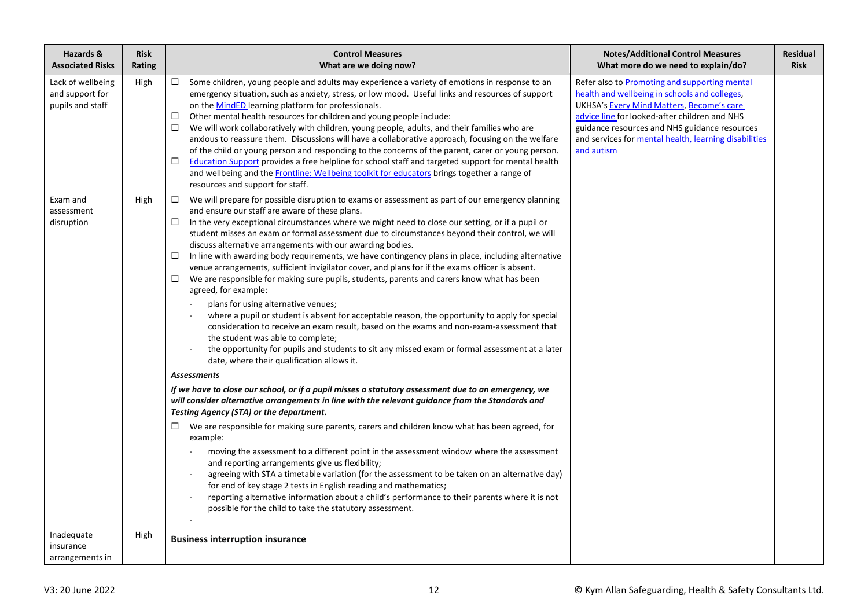| Hazards &<br><b>Associated Risks</b>                     | <b>Risk</b><br>Rating | <b>Control Measures</b><br>What are we doing now?                                                                                                                                                                                                                                                                                                                                                                                                                                                                                                                                                                                                                                                                                                                                                                                                                                                                                                                                                                                                                                                                                                                                                                                                                                                                                                                                                                                                                                                                                                                                                                                                                                                                                                                                                                                                                                                                                                                                                                                                                                          | <b>Notes/Additional Control Measures</b><br>What more do we need to explain/do?                                                                                                                                                                                                                                      | Residual<br><b>Risk</b> |
|----------------------------------------------------------|-----------------------|--------------------------------------------------------------------------------------------------------------------------------------------------------------------------------------------------------------------------------------------------------------------------------------------------------------------------------------------------------------------------------------------------------------------------------------------------------------------------------------------------------------------------------------------------------------------------------------------------------------------------------------------------------------------------------------------------------------------------------------------------------------------------------------------------------------------------------------------------------------------------------------------------------------------------------------------------------------------------------------------------------------------------------------------------------------------------------------------------------------------------------------------------------------------------------------------------------------------------------------------------------------------------------------------------------------------------------------------------------------------------------------------------------------------------------------------------------------------------------------------------------------------------------------------------------------------------------------------------------------------------------------------------------------------------------------------------------------------------------------------------------------------------------------------------------------------------------------------------------------------------------------------------------------------------------------------------------------------------------------------------------------------------------------------------------------------------------------------|----------------------------------------------------------------------------------------------------------------------------------------------------------------------------------------------------------------------------------------------------------------------------------------------------------------------|-------------------------|
| Lack of wellbeing<br>and support for<br>pupils and staff | High                  | $\Box$ Some children, young people and adults may experience a variety of emotions in response to an<br>emergency situation, such as anxiety, stress, or low mood. Useful links and resources of support<br>on the MindED learning platform for professionals.<br>Other mental health resources for children and young people include:<br>□<br>We will work collaboratively with children, young people, adults, and their families who are<br>□<br>anxious to reassure them. Discussions will have a collaborative approach, focusing on the welfare<br>of the child or young person and responding to the concerns of the parent, carer or young person.<br>Education Support provides a free helpline for school staff and targeted support for mental health<br>□<br>and wellbeing and the Frontline: Wellbeing toolkit for educators brings together a range of<br>resources and support for staff.                                                                                                                                                                                                                                                                                                                                                                                                                                                                                                                                                                                                                                                                                                                                                                                                                                                                                                                                                                                                                                                                                                                                                                                   | Refer also to Promoting and supporting mental<br>health and wellbeing in schools and colleges,<br>UKHSA's Every Mind Matters, Become's care<br>advice line for looked-after children and NHS<br>guidance resources and NHS guidance resources<br>and services for mental health, learning disabilities<br>and autism |                         |
| Exam and<br>assessment<br>disruption                     | High                  | $\Box$<br>We will prepare for possible disruption to exams or assessment as part of our emergency planning<br>and ensure our staff are aware of these plans.<br>In the very exceptional circumstances where we might need to close our setting, or if a pupil or<br>□<br>student misses an exam or formal assessment due to circumstances beyond their control, we will<br>discuss alternative arrangements with our awarding bodies.<br>In line with awarding body requirements, we have contingency plans in place, including alternative<br>□<br>venue arrangements, sufficient invigilator cover, and plans for if the exams officer is absent.<br>We are responsible for making sure pupils, students, parents and carers know what has been<br>□<br>agreed, for example:<br>plans for using alternative venues;<br>where a pupil or student is absent for acceptable reason, the opportunity to apply for special<br>consideration to receive an exam result, based on the exams and non-exam-assessment that<br>the student was able to complete;<br>the opportunity for pupils and students to sit any missed exam or formal assessment at a later<br>date, where their qualification allows it.<br><b>Assessments</b><br>If we have to close our school, or if a pupil misses a statutory assessment due to an emergency, we<br>will consider alternative arrangements in line with the relevant guidance from the Standards and<br>Testing Agency (STA) or the department.<br>We are responsible for making sure parents, carers and children know what has been agreed, for<br>□<br>example:<br>moving the assessment to a different point in the assessment window where the assessment<br>and reporting arrangements give us flexibility;<br>agreeing with STA a timetable variation (for the assessment to be taken on an alternative day)<br>for end of key stage 2 tests in English reading and mathematics;<br>reporting alternative information about a child's performance to their parents where it is not<br>possible for the child to take the statutory assessment. |                                                                                                                                                                                                                                                                                                                      |                         |
| Inadequate<br>insurance<br>arrangements in               | High                  | <b>Business interruption insurance</b>                                                                                                                                                                                                                                                                                                                                                                                                                                                                                                                                                                                                                                                                                                                                                                                                                                                                                                                                                                                                                                                                                                                                                                                                                                                                                                                                                                                                                                                                                                                                                                                                                                                                                                                                                                                                                                                                                                                                                                                                                                                     |                                                                                                                                                                                                                                                                                                                      |                         |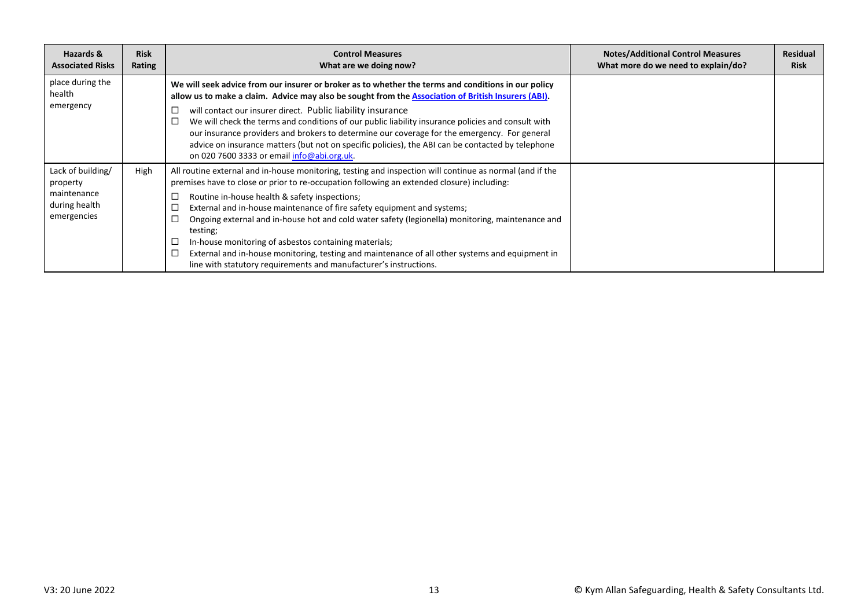| Hazards &<br><b>Associated Risks</b>                                         | <b>Risk</b><br>Rating | <b>Control Measures</b><br>What are we doing now?                                                                                                                                                                                                                                                                                                                                                                                                                                                                                                                                                                                                                                             | <b>Notes/Additional Control Measures</b><br>What more do we need to explain/do? | <b>Residual</b><br><b>Risk</b> |
|------------------------------------------------------------------------------|-----------------------|-----------------------------------------------------------------------------------------------------------------------------------------------------------------------------------------------------------------------------------------------------------------------------------------------------------------------------------------------------------------------------------------------------------------------------------------------------------------------------------------------------------------------------------------------------------------------------------------------------------------------------------------------------------------------------------------------|---------------------------------------------------------------------------------|--------------------------------|
| place during the<br>health<br>emergency                                      |                       | We will seek advice from our insurer or broker as to whether the terms and conditions in our policy<br>allow us to make a claim. Advice may also be sought from the Association of British Insurers (ABI).<br>will contact our insurer direct. Public liability insurance<br>□<br>We will check the terms and conditions of our public liability insurance policies and consult with<br>our insurance providers and brokers to determine our coverage for the emergency. For general<br>advice on insurance matters (but not on specific policies), the ABI can be contacted by telephone<br>on 020 7600 3333 or email info@abi.org.uk.                                                       |                                                                                 |                                |
| Lack of building/<br>property<br>maintenance<br>during health<br>emergencies | High                  | All routine external and in-house monitoring, testing and inspection will continue as normal (and if the<br>premises have to close or prior to re-occupation following an extended closure) including:<br>Routine in-house health & safety inspections;<br>ப<br>External and in-house maintenance of fire safety equipment and systems;<br>⊏<br>Ongoing external and in-house hot and cold water safety (legionella) monitoring, maintenance and<br>testing;<br>In-house monitoring of asbestos containing materials;<br>External and in-house monitoring, testing and maintenance of all other systems and equipment in<br>line with statutory requirements and manufacturer's instructions. |                                                                                 |                                |